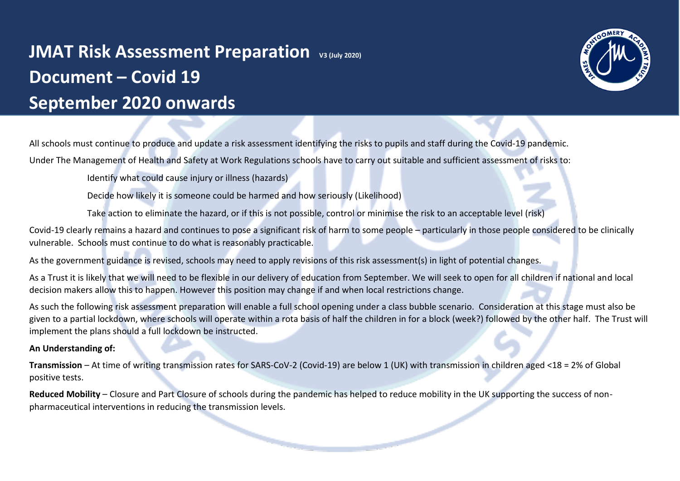# **JMAT Risk Assessment Preparation**  $v_3$  (July 2020) **Document – Covid 19 September 2020 onwards**



All schools must continue to produce and update a risk assessment identifying the risks to pupils and staff during the Covid-19 pandemic. Under The Management of Health and Safety at Work Regulations schools have to carry out suitable and sufficient assessment of risks to:

Identify what could cause injury or illness (hazards)

Decide how likely it is someone could be harmed and how seriously (Likelihood)

Take action to eliminate the hazard, or if this is not possible, control or minimise the risk to an acceptable level (risk)

Covid-19 clearly remains a hazard and continues to pose a significant risk of harm to some people – particularly in those people considered to be clinically vulnerable. Schools must continue to do what is reasonably practicable.

As the government guidance is revised, schools may need to apply revisions of this risk assessment(s) in light of potential changes.

As a Trust it is likely that we will need to be flexible in our delivery of education from September. We will seek to open for all children if national and local decision makers allow this to happen. However this position may change if and when local restrictions change.

As such the following risk assessment preparation will enable a full school opening under a class bubble scenario. Consideration at this stage must also be given to a partial lockdown, where schools will operate within a rota basis of half the children in for a block (week?) followed by the other half. The Trust will implement the plans should a full lockdown be instructed.

# **An Understanding of:**

**Transmission** – At time of writing transmission rates for SARS-CoV-2 (Covid-19) are below 1 (UK) with transmission in children aged <18 = 2% of Global positive tests.

**Reduced Mobility** – Closure and Part Closure of schools during the pandemic has helped to reduce mobility in the UK supporting the success of nonpharmaceutical interventions in reducing the transmission levels.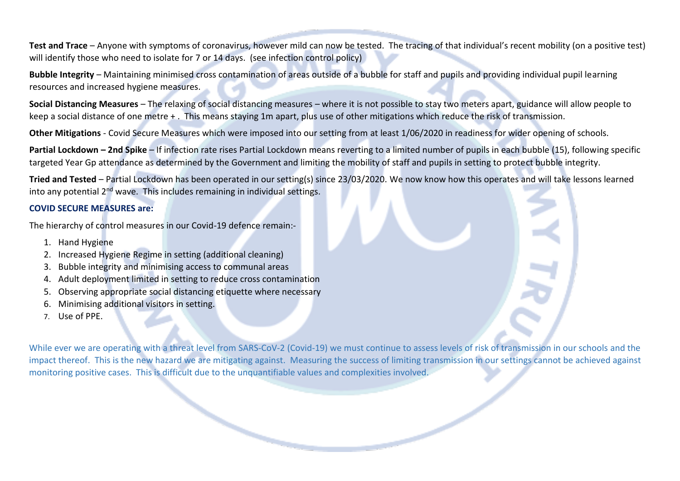**Test and Trace** – Anyone with symptoms of coronavirus, however mild can now be tested. The tracing of that individual's recent mobility (on a positive test) will identify those who need to isolate for 7 or 14 days. (see infection control policy)

**Bubble Integrity** – Maintaining minimised cross contamination of areas outside of a bubble for staff and pupils and providing individual pupil learning resources and increased hygiene measures.

**Social Distancing Measures** – The relaxing of social distancing measures – where it is not possible to stay two meters apart, guidance will allow people to keep a social distance of one metre + . This means staying 1m apart, plus use of other mitigations which reduce the risk of transmission.

**Other Mitigations** - Covid Secure Measures which were imposed into our setting from at least 1/06/2020 in readiness for wider opening of schools.

**Partial Lockdown – 2nd Spike** – If infection rate rises Partial Lockdown means reverting to a limited number of pupils in each bubble (15), following specific targeted Year Gp attendance as determined by the Government and limiting the mobility of staff and pupils in setting to protect bubble integrity.

**Tried and Tested** – Partial Lockdown has been operated in our setting(s) since 23/03/2020. We now know how this operates and will take lessons learned into any potential 2<sup>nd</sup> wave. This includes remaining in individual settings.

# **COVID SECURE MEASURES are:**

The hierarchy of control measures in our Covid-19 defence remain:-

- 1. Hand Hygiene
- 2. Increased Hygiene Regime in setting (additional cleaning)
- 3. Bubble integrity and minimising access to communal areas
- 4. Adult deployment limited in setting to reduce cross contamination
- 5. Observing appropriate social distancing etiquette where necessary
- 6. Minimising additional visitors in setting.
- 7. Use of PPE.

While ever we are operating with a threat level from SARS-CoV-2 (Covid-19) we must continue to assess levels of risk of transmission in our schools and the impact thereof. This is the new hazard we are mitigating against. Measuring the success of limiting transmission in our settings cannot be achieved against monitoring positive cases. This is difficult due to the unquantifiable values and complexities involved.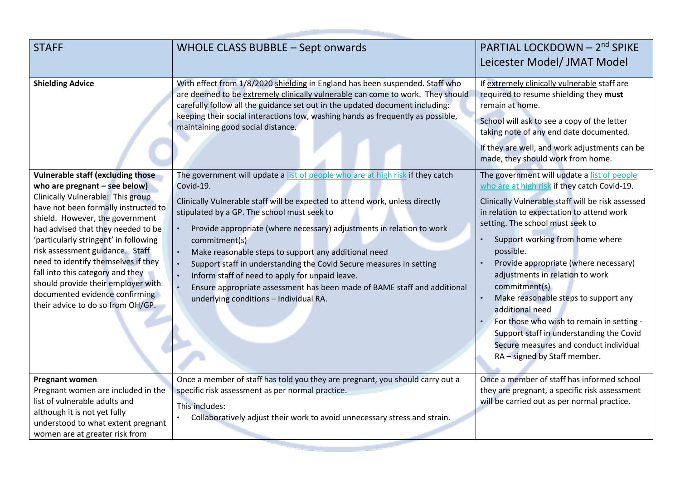| <b>STAFF</b>                                                                                                                                                                                                                                                                                                                                                                                                                                                                                          | WHOLE CLASS BUBBLE - Sept onwards                                                                                                                                                                                                                                                                                                                                                                                                                                                                                                                                                                                            | PARTIAL LOCKDOWN - 2 <sup>nd</sup> SPIKE<br>Leicester Model/ JMAT Model                                                                                                                                                                                                                                                                                                                                                                                                                                                                                                                                      |
|-------------------------------------------------------------------------------------------------------------------------------------------------------------------------------------------------------------------------------------------------------------------------------------------------------------------------------------------------------------------------------------------------------------------------------------------------------------------------------------------------------|------------------------------------------------------------------------------------------------------------------------------------------------------------------------------------------------------------------------------------------------------------------------------------------------------------------------------------------------------------------------------------------------------------------------------------------------------------------------------------------------------------------------------------------------------------------------------------------------------------------------------|--------------------------------------------------------------------------------------------------------------------------------------------------------------------------------------------------------------------------------------------------------------------------------------------------------------------------------------------------------------------------------------------------------------------------------------------------------------------------------------------------------------------------------------------------------------------------------------------------------------|
| <b>Shielding Advice</b>                                                                                                                                                                                                                                                                                                                                                                                                                                                                               | With effect from 1/8/2020 shielding in England has been suspended. Staff who<br>are deemed to be extremely clinically vulnerable can come to work. They should<br>carefully follow all the guidance set out in the updated document including:<br>keeping their social interactions low, washing hands as frequently as possible,<br>maintaining good social distance.                                                                                                                                                                                                                                                       | If extremely clinically vulnerable staff are<br>required to resume shielding they must<br>remain at home.<br>School will ask to see a copy of the letter<br>taking note of any end date documented.<br>If they are well, and work adjustments can be<br>made, they should work from home.                                                                                                                                                                                                                                                                                                                    |
| <b>Vulnerable staff (excluding those</b><br>who are pregnant $-$ see below)<br>Clinically Vulnerable: This group<br>have not been formally instructed to<br>shield. However, the government<br>had advised that they needed to be<br>'particularly stringent' in following<br>risk assessment guidance. Staff<br>need to identify themselves if they<br>fall into this category and they<br>should provide their employer with<br>documented evidence confirming<br>their advice to do so from OH/GP. | The government will update a list of people who are at high risk if they catch<br>Covid-19.<br>Clinically Vulnerable staff will be expected to attend work, unless directly<br>stipulated by a GP. The school must seek to<br>Provide appropriate (where necessary) adjustments in relation to work<br>commitment(s)<br>Make reasonable steps to support any additional need<br>Support staff in understanding the Covid Secure measures in setting<br>Inform staff of need to apply for unpaid leave.<br>Ensure appropriate assessment has been made of BAME staff and additional<br>underlying conditions - Individual RA. | The government will update a list of people<br>who are at high risk if they catch Covid-19.<br>Clinically Vulnerable staff will be risk assessed<br>in relation to expectation to attend work<br>setting. The school must seek to<br>Support working from home where<br>possible.<br>Provide appropriate (where necessary)<br>adjustments in relation to work<br>commitment(s)<br>Make reasonable steps to support any<br>additional need<br>For those who wish to remain in setting -<br>Support staff in understanding the Covid<br>Secure measures and conduct individual<br>RA - signed by Staff member. |
| <b>Pregnant women</b><br>Pregnant women are included in the<br>list of vulnerable adults and<br>although it is not yet fully<br>understood to what extent pregnant<br>women are at greater risk from                                                                                                                                                                                                                                                                                                  | Once a member of staff has told you they are pregnant, you should carry out a<br>specific risk assessment as per normal practice.<br>This includes:<br>Collaboratively adjust their work to avoid unnecessary stress and strain.                                                                                                                                                                                                                                                                                                                                                                                             | Once a member of staff has informed school<br>they are pregnant, a specific risk assessment<br>will be carried out as per normal practice.                                                                                                                                                                                                                                                                                                                                                                                                                                                                   |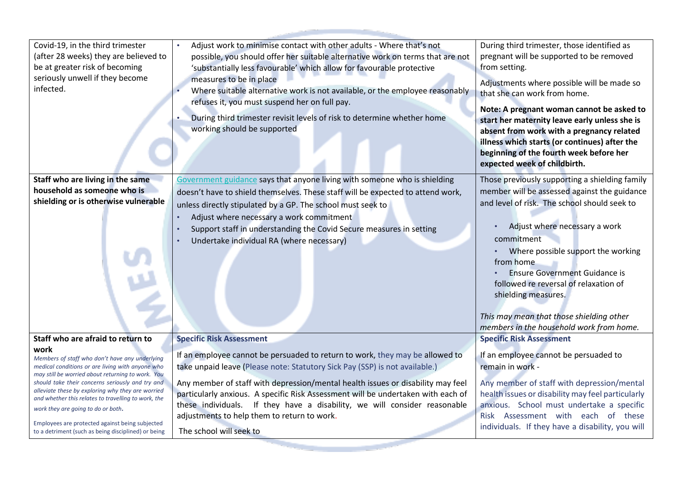| Covid-19, in the third trimester                                                                       | Adjust work to minimise contact with other adults - Where that's not                                                                                    | During third trimester, those identified as               |
|--------------------------------------------------------------------------------------------------------|---------------------------------------------------------------------------------------------------------------------------------------------------------|-----------------------------------------------------------|
| (after 28 weeks) they are believed to<br>be at greater risk of becoming                                | possible, you should offer her suitable alternative work on terms that are not<br>'substantially less favourable' which allow for favourable protective | pregnant will be supported to be removed<br>from setting. |
| seriously unwell if they become                                                                        | measures to be in place                                                                                                                                 |                                                           |
| infected.                                                                                              | Where suitable alternative work is not available, or the employee reasonably                                                                            | Adjustments where possible will be made so                |
|                                                                                                        | refuses it, you must suspend her on full pay.                                                                                                           | that she can work from home.                              |
|                                                                                                        |                                                                                                                                                         | Note: A pregnant woman cannot be asked to                 |
|                                                                                                        | During third trimester revisit levels of risk to determine whether home                                                                                 | start her maternity leave early unless she is             |
|                                                                                                        | working should be supported                                                                                                                             | absent from work with a pregnancy related                 |
|                                                                                                        |                                                                                                                                                         | illness which starts (or continues) after the             |
|                                                                                                        |                                                                                                                                                         | beginning of the fourth week before her                   |
|                                                                                                        |                                                                                                                                                         | expected week of childbirth.                              |
| Staff who are living in the same                                                                       | Government guidance says that anyone living with someone who is shielding                                                                               | Those previously supporting a shielding family            |
| household as someone who is                                                                            | doesn't have to shield themselves. These staff will be expected to attend work,                                                                         | member will be assessed against the guidance              |
| shielding or is otherwise vulnerable                                                                   | unless directly stipulated by a GP. The school must seek to                                                                                             | and level of risk. The school should seek to              |
|                                                                                                        | Adjust where necessary a work commitment                                                                                                                |                                                           |
|                                                                                                        | Support staff in understanding the Covid Secure measures in setting                                                                                     | Adjust where necessary a work                             |
|                                                                                                        | Undertake individual RA (where necessary)                                                                                                               | commitment                                                |
|                                                                                                        |                                                                                                                                                         | Where possible support the working                        |
|                                                                                                        |                                                                                                                                                         | from home                                                 |
|                                                                                                        |                                                                                                                                                         | <b>Ensure Government Guidance is</b>                      |
|                                                                                                        |                                                                                                                                                         | followed re reversal of relaxation of                     |
|                                                                                                        |                                                                                                                                                         | shielding measures.                                       |
|                                                                                                        |                                                                                                                                                         |                                                           |
|                                                                                                        |                                                                                                                                                         | This may mean that those shielding other                  |
| Staff who are afraid to return to                                                                      |                                                                                                                                                         | members in the household work from home.                  |
| work                                                                                                   | <b>Specific Risk Assessment</b>                                                                                                                         | <b>Specific Risk Assessment</b>                           |
| Members of staff who don't have any underlying                                                         | If an employee cannot be persuaded to return to work, they may be allowed to                                                                            | If an employee cannot be persuaded to                     |
| medical conditions or are living with anyone who                                                       | take unpaid leave (Please note: Statutory Sick Pay (SSP) is not available.)                                                                             | remain in work -                                          |
| may still be worried about returning to work. You<br>should take their concerns seriously and try and  | Any member of staff with depression/mental health issues or disability may feel                                                                         | Any member of staff with depression/mental                |
| alleviate these by exploring why they are worried                                                      | particularly anxious. A specific Risk Assessment will be undertaken with each of                                                                        | health issues or disability may feel particularly         |
| and whether this relates to travelling to work, the<br>work they are going to do or both.              | these individuals. If they have a disability, we will consider reasonable                                                                               | anxious. School must undertake a specific                 |
|                                                                                                        | adjustments to help them to return to work.                                                                                                             | Risk Assessment with each of these                        |
| Employees are protected against being subjected<br>to a detriment (such as being disciplined) or being | The school will seek to                                                                                                                                 | individuals. If they have a disability, you will          |
|                                                                                                        |                                                                                                                                                         |                                                           |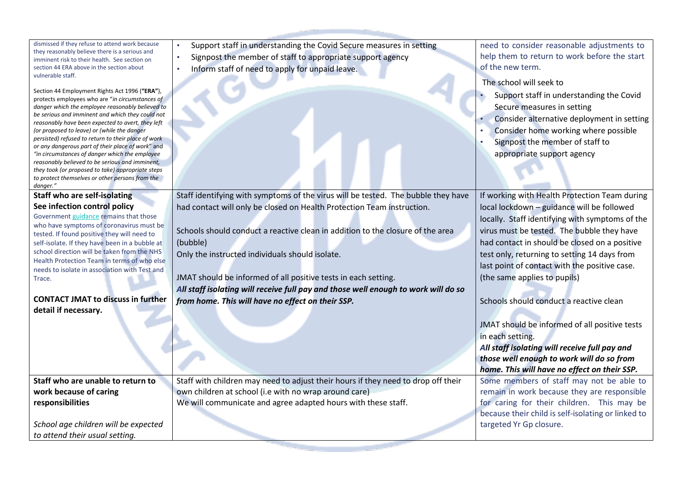dismissed if they refuse to attend work because they reasonably believe there is a serious and imminent risk to their health. See section on section 44 ERA above in the section about vulnerable staff.

Section 44 Employment Rights Act 1996 (**"ERA"**), protects employees who are "*in circumstances of danger which the employee reasonably believed to be serious and imminent and which they could not reasonably have been expected to avert, they left (or proposed to leave) or (while the danger persisted) refused to return to their place of work or any dangerous part of their place of work*" and *"in circumstances of danger which the employee reasonably believed to be serious and imminent, they took (or proposed to take) appropriate steps to protect themselves or other persons from the danger."*

**Staff who are self-isolating See infection control policy**

Government [guidance](https://www.gov.uk/government/publications/covid-19-stay-at-home-guidance/stay-at-home-guidance-for-households-with-possible-coronavirus-covid-19-infection) [r](https://www.gov.uk/government/publications/covid-19-stay-at-home-guidance/stay-at-home-guidance-for-households-with-possible-coronavirus-covid-19-infection)emains that those who have symptoms of coronavirus must be tested. If found positive they will need to self-isolate. If they have been in a bubble at school direction will be taken from the NHS Health Protection Team in terms of who else needs to isolate in association with Test and **Trace** 

## **CONTACT JMAT to discuss in further detail if necessary.**

Support staff in understanding the Covid Secure measures in setting

- Signpost the member of staff to appropriate support agency
- Inform staff of need to apply for unpaid leave.

need to consider reasonable adjustments to help them to return to work before the start of the new term.

### The school will seek to

- Support staff in understanding the Covid Secure measures in setting
- Consider alternative deployment in setting
- Consider home working where possible

If working with Health Protection Team during local lockdown – guidance will be followed locally. Staff identifying with symptoms of the virus must be tested. The bubble they have had contact in should be closed on a positive test only, returning to setting 14 days from last point of contact with the positive case.

Signpost the member of staff to appropriate support agency

(the same applies to pupils)

in each setting.

Schools should conduct a reactive clean

JMAT should be informed of all positive tests

*All staff isolating will receive full pay and* 

Staff identifying with symptoms of the virus will be tested. The bubble they have had contact will only be closed on Health Protection Team instruction.

Schools should conduct a reactive clean in addition to the closure of the area (bubble)

Only the instructed individuals should isolate.

JMAT should be informed of all positive tests in each setting. *All staff isolating will receive full pay and those well enough to work will do so from home. This will have no effect on their SSP.*

*those well enough to work will do so from*  Staff with children may need to adjust their hours if they need to drop off their own children at school (i.e with no wrap around care)

We will communicate and agree adapted hours with these staff.

*School age children will be expected to attend their usual setting.*

**Staff who are unable to return to** 

**work because of caring** 

**responsibilities**

*home. This will have no effect on their SSP.* Some members of staff may not be able to remain in work because they are responsible for caring for their children. This may be because their child is self-isolating or linked to targeted Yr Gp closure.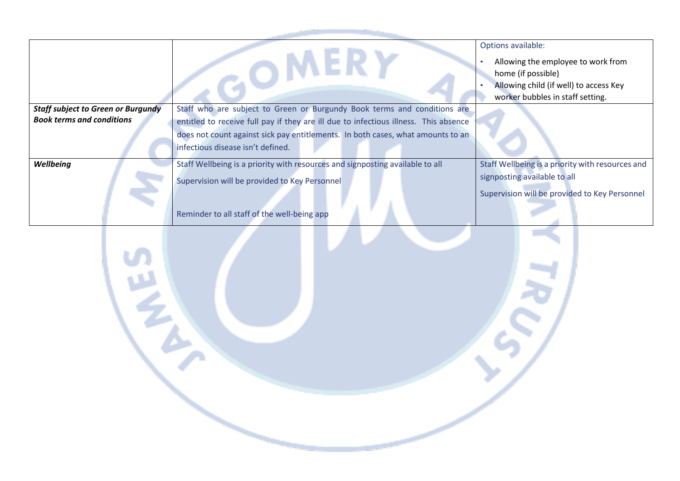|                                           |                                                                                      | Options available:<br>Allowing the employee to work from<br>home (if possible)<br>Allowing child (if well) to access Key |
|-------------------------------------------|--------------------------------------------------------------------------------------|--------------------------------------------------------------------------------------------------------------------------|
|                                           |                                                                                      | worker bubbles in staff setting.                                                                                         |
| <b>Staff subject to Green or Burgundy</b> | Staff who are subject to Green or Burgundy Book terms and conditions are             |                                                                                                                          |
| <b>Book terms and conditions</b>          | entitled to receive full pay if they are ill due to infectious illness. This absence |                                                                                                                          |
|                                           | does not count against sick pay entitlements. In both cases, what amounts to an      |                                                                                                                          |
|                                           | infectious disease isn't defined.                                                    |                                                                                                                          |
| Wellbeing                                 | Staff Wellbeing is a priority with resources and signposting available to all        | Staff Wellbeing is a priority with resources and                                                                         |
|                                           | Supervision will be provided to Key Personnel                                        | signposting available to all                                                                                             |
|                                           |                                                                                      | Supervision will be provided to Key Personnel                                                                            |
|                                           | Reminder to all staff of the well-being app                                          |                                                                                                                          |

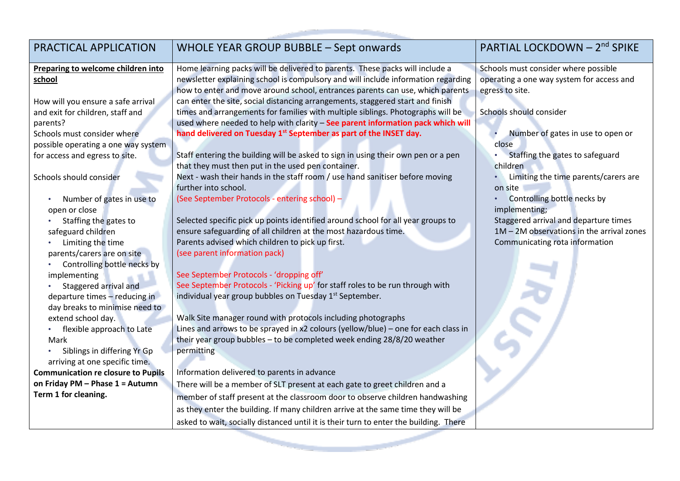| PRACTICAL APPLICATION                     | WHOLE YEAR GROUP BUBBLE - Sept onwards                                                | PARTIAL LOCKDOWN - 2 <sup>nd</sup> SPIKE    |
|-------------------------------------------|---------------------------------------------------------------------------------------|---------------------------------------------|
| Preparing to welcome children into        | Home learning packs will be delivered to parents. These packs will include a          | Schools must consider where possible        |
| school                                    | newsletter explaining school is compulsory and will include information regarding     | operating a one way system for access and   |
|                                           | how to enter and move around school, entrances parents can use, which parents         | egress to site.                             |
| How will you ensure a safe arrival        | can enter the site, social distancing arrangements, staggered start and finish        |                                             |
| and exit for children, staff and          | times and arrangements for families with multiple siblings. Photographs will be       | Schools should consider                     |
| parents?                                  | used where needed to help with clarity - See parent information pack which will       |                                             |
| Schools must consider where               | hand delivered on Tuesday 1 <sup>st</sup> September as part of the INSET day.         | Number of gates in use to open or           |
| possible operating a one way system       |                                                                                       | close                                       |
| for access and egress to site.            | Staff entering the building will be asked to sign in using their own pen or a pen     | Staffing the gates to safeguard             |
|                                           | that they must then put in the used pen container.                                    | children                                    |
| Schools should consider                   | Next - wash their hands in the staff room / use hand sanitiser before moving          | Limiting the time parents/carers are        |
|                                           | further into school.                                                                  | on site                                     |
| Number of gates in use to                 | (See September Protocols - entering school) -                                         | Controlling bottle necks by                 |
| open or close                             |                                                                                       | implementing;                               |
| Staffing the gates to                     | Selected specific pick up points identified around school for all year groups to      | Staggered arrival and departure times       |
| safeguard children                        | ensure safeguarding of all children at the most hazardous time.                       | $1M - 2M$ observations in the arrival zones |
| Limiting the time                         | Parents advised which children to pick up first.                                      | Communicating rota information              |
| parents/carers are on site                | (see parent information pack)                                                         |                                             |
| Controlling bottle necks by               |                                                                                       |                                             |
| implementing                              | See September Protocols - 'dropping off'                                              |                                             |
| Staggered arrival and                     | See September Protocols - 'Picking up' for staff roles to be run through with         |                                             |
| departure times - reducing in             | individual year group bubbles on Tuesday 1 <sup>st</sup> September.                   |                                             |
| day breaks to minimise need to            |                                                                                       |                                             |
| extend school day.                        | Walk Site manager round with protocols including photographs                          |                                             |
| flexible approach to Late                 | Lines and arrows to be sprayed in x2 colours (yellow/blue) – one for each class in    |                                             |
| Mark                                      | their year group bubbles - to be completed week ending 28/8/20 weather                |                                             |
| Siblings in differing Yr Gp               | permitting                                                                            |                                             |
| arriving at one specific time.            |                                                                                       |                                             |
| <b>Communication re closure to Pupils</b> | Information delivered to parents in advance                                           |                                             |
| on Friday PM - Phase 1 = Autumn           | There will be a member of SLT present at each gate to greet children and a            |                                             |
| Term 1 for cleaning.                      | member of staff present at the classroom door to observe children handwashing         |                                             |
|                                           | as they enter the building. If many children arrive at the same time they will be     |                                             |
|                                           | asked to wait, socially distanced until it is their turn to enter the building. There |                                             |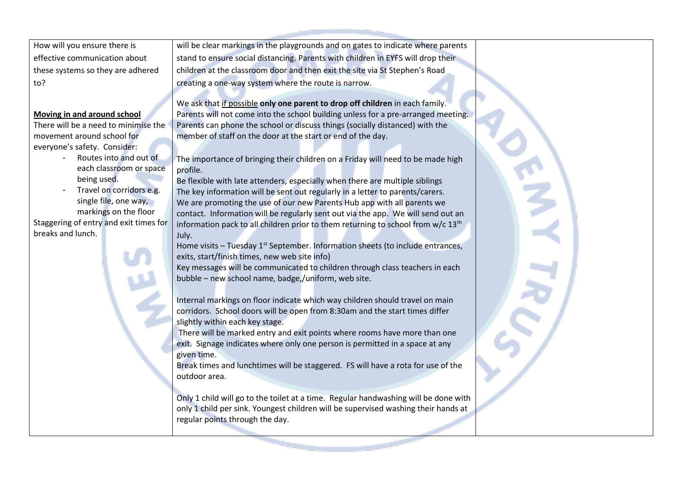How will you ensure there is effective communication about these systems so they are adhered to?

#### **Moving in and around school**

There will be a need to minimise the movement around school for everyone's safety. Consider:

- Routes into and out of each classroom or space being used.
- Travel on corridors e.g. single file, one way, markings on the floor

Staggering of entry and exit times for breaks and lunch.

will be clear markings in the playgrounds and on gates to indicate where parents stand to ensure social distancing. Parents with children in EYFS will drop their children at the classroom door and then exit the site via St Stephen's Road creating a one-way system where the route is narrow.

We ask that if possible **only one parent to drop off children** in each family. Parents will not come into the school building unless for a pre-arranged meeting. Parents can phone the school or discuss things (socially distanced) with the member of staff on the door at the start or end of the day.

The importance of bringing their children on a Friday will need to be made high profile.

Be flexible with late attenders, especially when there are multiple siblings The key information will be sent out regularly in a letter to parents/carers. We are promoting the use of our new Parents Hub app with all parents we contact. Information will be regularly sent out via the app. We will send out an information pack to all children prior to them returning to school from  $w/c 13<sup>th</sup>$ July.

Home visits – Tuesday  $1^{st}$  September. Information sheets (to include entrances, exits, start/finish times, new web site info)

Key messages will be communicated to children through class teachers in each bubble – new school name, badge,/uniform, web site.

Internal markings on floor indicate which way children should travel on main corridors. School doors will be open from 8:30am and the start times differ slightly within each key stage.

There will be marked entry and exit points where rooms have more than one exit. Signage indicates where only one person is permitted in a space at any given time.

Break times and lunchtimes will be staggered. FS will have a rota for use of the outdoor area.

Only 1 child will go to the toilet at a time. Regular handwashing will be done with only 1 child per sink. Youngest children will be supervised washing their hands at regular points through the day.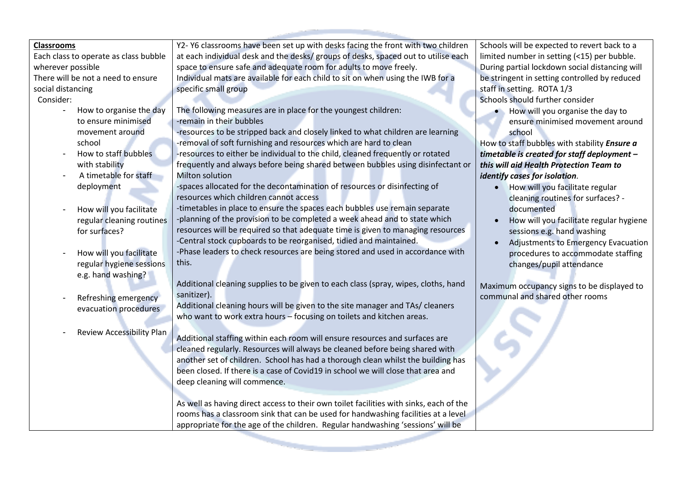| <b>Classrooms</b>                     | Y2- Y6 classrooms have been set up with desks facing the front with two children       | Schools will be expected to revert back to a   |
|---------------------------------------|----------------------------------------------------------------------------------------|------------------------------------------------|
| Each class to operate as class bubble | at each individual desk and the desks/ groups of desks, spaced out to utilise each     | limited number in setting (<15) per bubble.    |
| wherever possible                     | space to ensure safe and adequate room for adults to move freely.                      | During partial lockdown social distancing will |
| There will be not a need to ensure    | Individual mats are available for each child to sit on when using the IWB for a        | be stringent in setting controlled by reduced  |
| social distancing                     | specific small group                                                                   | staff in setting. ROTA 1/3                     |
| Consider:                             |                                                                                        | Schools should further consider                |
| How to organise the day               | The following measures are in place for the youngest children:                         | How will you organise the day to               |
| to ensure minimised                   | -remain in their bubbles                                                               | ensure minimised movement around               |
| movement around                       | -resources to be stripped back and closely linked to what children are learning        | school                                         |
| school                                | -removal of soft furnishing and resources which are hard to clean                      | How to staff bubbles with stability Ensure a   |
| How to staff bubbles                  | -resources to either be individual to the child, cleaned frequently or rotated         | timetable is created for staff deployment -    |
| with stability                        | frequently and always before being shared between bubbles using disinfectant or        | this will aid Health Protection Team to        |
| A timetable for staff                 | <b>Milton solution</b>                                                                 | identify cases for isolation.                  |
| deployment                            | -spaces allocated for the decontamination of resources or disinfecting of              | How will you facilitate regular<br>$\bullet$   |
|                                       | resources which children cannot access                                                 | cleaning routines for surfaces? -              |
| How will you facilitate               | -timetables in place to ensure the spaces each bubbles use remain separate             | documented                                     |
| regular cleaning routines             | -planning of the provision to be completed a week ahead and to state which             | How will you facilitate regular hygiene        |
| for surfaces?                         | resources will be required so that adequate time is given to managing resources        | sessions e.g. hand washing                     |
|                                       | -Central stock cupboards to be reorganised, tidied and maintained.                     | Adjustments to Emergency Evacuation            |
| How will you facilitate               | -Phase leaders to check resources are being stored and used in accordance with         | procedures to accommodate staffing             |
| regular hygiene sessions              | this.                                                                                  | changes/pupil attendance                       |
| e.g. hand washing?                    |                                                                                        |                                                |
|                                       | Additional cleaning supplies to be given to each class (spray, wipes, cloths, hand     | Maximum occupancy signs to be displayed to     |
| Refreshing emergency                  | sanitizer).                                                                            | communal and shared other rooms                |
| evacuation procedures                 | Additional cleaning hours will be given to the site manager and TAs/ cleaners          |                                                |
|                                       | who want to work extra hours - focusing on toilets and kitchen areas.                  |                                                |
| <b>Review Accessibility Plan</b>      |                                                                                        |                                                |
|                                       | Additional staffing within each room will ensure resources and surfaces are            |                                                |
|                                       | cleaned regularly. Resources will always be cleaned before being shared with           |                                                |
|                                       | another set of children. School has had a thorough clean whilst the building has       |                                                |
|                                       | been closed. If there is a case of Covid19 in school we will close that area and       |                                                |
|                                       | deep cleaning will commence.                                                           |                                                |
|                                       |                                                                                        |                                                |
|                                       | As well as having direct access to their own toilet facilities with sinks, each of the |                                                |
|                                       | rooms has a classroom sink that can be used for handwashing facilities at a level      |                                                |
|                                       | appropriate for the age of the children. Regular handwashing 'sessions' will be        |                                                |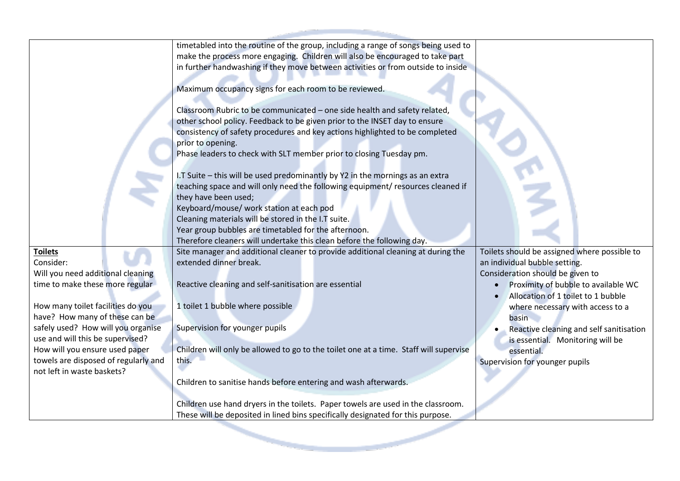|                                      | timetabled into the routine of the group, including a range of songs being used to    |                                              |
|--------------------------------------|---------------------------------------------------------------------------------------|----------------------------------------------|
|                                      | make the process more engaging. Children will also be encouraged to take part         |                                              |
|                                      | in further handwashing if they move between activities or from outside to inside      |                                              |
|                                      |                                                                                       |                                              |
|                                      | Maximum occupancy signs for each room to be reviewed.                                 |                                              |
|                                      | Classroom Rubric to be communicated - one side health and safety related,             |                                              |
|                                      | other school policy. Feedback to be given prior to the INSET day to ensure            |                                              |
|                                      | consistency of safety procedures and key actions highlighted to be completed          |                                              |
|                                      | prior to opening.                                                                     |                                              |
|                                      | Phase leaders to check with SLT member prior to closing Tuesday pm.                   |                                              |
|                                      | I.T Suite - this will be used predominantly by Y2 in the mornings as an extra         |                                              |
|                                      | teaching space and will only need the following equipment/ resources cleaned if       |                                              |
|                                      | they have been used;                                                                  |                                              |
|                                      | Keyboard/mouse/ work station at each pod                                              |                                              |
|                                      | Cleaning materials will be stored in the I.T suite.                                   |                                              |
|                                      | Year group bubbles are timetabled for the afternoon.                                  |                                              |
|                                      |                                                                                       |                                              |
|                                      | Therefore cleaners will undertake this clean before the following day.                |                                              |
| <b>Toilets</b>                       | Site manager and additional cleaner to provide additional cleaning at during the      | Toilets should be assigned where possible to |
| Consider:                            | extended dinner break.                                                                | an individual bubble setting.                |
| Will you need additional cleaning    |                                                                                       | Consideration should be given to             |
| time to make these more regular      | Reactive cleaning and self-sanitisation are essential                                 | Proximity of bubble to available WC          |
|                                      |                                                                                       | Allocation of 1 toilet to 1 bubble           |
| How many toilet facilities do you    | 1 toilet 1 bubble where possible                                                      | where necessary with access to a             |
| have? How many of these can be       |                                                                                       | basin                                        |
| safely used? How will you organise   | Supervision for younger pupils                                                        | Reactive cleaning and self sanitisation      |
| use and will this be supervised?     |                                                                                       | is essential. Monitoring will be             |
| How will you ensure used paper       | Children will only be allowed to go to the toilet one at a time. Staff will supervise | essential.                                   |
| towels are disposed of regularly and | this.                                                                                 | Supervision for younger pupils               |
| not left in waste baskets?           |                                                                                       |                                              |
|                                      | Children to sanitise hands before entering and wash afterwards.                       |                                              |
|                                      |                                                                                       |                                              |
|                                      | Children use hand dryers in the toilets. Paper towels are used in the classroom.      |                                              |
|                                      | These will be deposited in lined bins specifically designated for this purpose.       |                                              |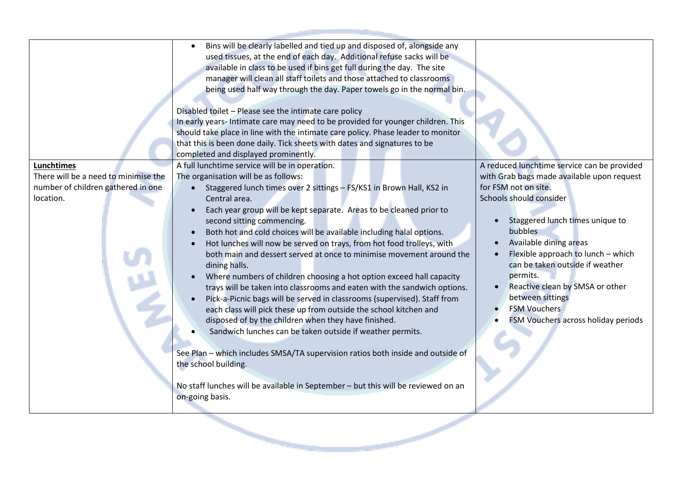| <b>Lunchtimes</b><br>There will be a need to minimise the<br>number of children gathered in one<br>location. | available in class to be used if bins get full during the day. The site<br>manager will clean all staff toilets and those attached to classrooms<br>being used half way through the day. Paper towels go in the normal bin.<br>Disabled toilet - Please see the intimate care policy<br>In early years- Intimate care may need to be provided for younger children. This<br>should take place in line with the intimate care policy. Phase leader to monitor<br>that this is been done daily. Tick sheets with dates and signatures to be<br>completed and displayed prominently.<br>A full lunchtime service will be in operation.<br>The organisation will be as follows:<br>Staggered lunch times over 2 sittings - FS/KS1 in Brown Hall, KS2 in<br>Central area.<br>Each year group will be kept separate. Areas to be cleaned prior to<br>second sitting commencing.<br>Both hot and cold choices will be available including halal options.<br>Hot lunches will now be served on trays, from hot food trolleys, with<br>both main and dessert served at once to minimise movement around the<br>dining halls.<br>Where numbers of children choosing a hot option exceed hall capacity | A reduced lunchtime service can be provided<br>with Grab bags made available upon request<br>for FSM not on site.<br>Schools should consider<br>Staggered lunch times unique to<br>bubbles<br>Available dining areas<br>Flexible approach to lunch - which<br>can be taken outside if weather<br>permits. |
|--------------------------------------------------------------------------------------------------------------|---------------------------------------------------------------------------------------------------------------------------------------------------------------------------------------------------------------------------------------------------------------------------------------------------------------------------------------------------------------------------------------------------------------------------------------------------------------------------------------------------------------------------------------------------------------------------------------------------------------------------------------------------------------------------------------------------------------------------------------------------------------------------------------------------------------------------------------------------------------------------------------------------------------------------------------------------------------------------------------------------------------------------------------------------------------------------------------------------------------------------------------------------------------------------------------------|-----------------------------------------------------------------------------------------------------------------------------------------------------------------------------------------------------------------------------------------------------------------------------------------------------------|
|                                                                                                              |                                                                                                                                                                                                                                                                                                                                                                                                                                                                                                                                                                                                                                                                                                                                                                                                                                                                                                                                                                                                                                                                                                                                                                                             |                                                                                                                                                                                                                                                                                                           |
|                                                                                                              |                                                                                                                                                                                                                                                                                                                                                                                                                                                                                                                                                                                                                                                                                                                                                                                                                                                                                                                                                                                                                                                                                                                                                                                             |                                                                                                                                                                                                                                                                                                           |
|                                                                                                              |                                                                                                                                                                                                                                                                                                                                                                                                                                                                                                                                                                                                                                                                                                                                                                                                                                                                                                                                                                                                                                                                                                                                                                                             |                                                                                                                                                                                                                                                                                                           |
|                                                                                                              |                                                                                                                                                                                                                                                                                                                                                                                                                                                                                                                                                                                                                                                                                                                                                                                                                                                                                                                                                                                                                                                                                                                                                                                             |                                                                                                                                                                                                                                                                                                           |
|                                                                                                              |                                                                                                                                                                                                                                                                                                                                                                                                                                                                                                                                                                                                                                                                                                                                                                                                                                                                                                                                                                                                                                                                                                                                                                                             |                                                                                                                                                                                                                                                                                                           |
|                                                                                                              | trays will be taken into classrooms and eaten with the sandwich options.                                                                                                                                                                                                                                                                                                                                                                                                                                                                                                                                                                                                                                                                                                                                                                                                                                                                                                                                                                                                                                                                                                                    | Reactive clean by SMSA or other                                                                                                                                                                                                                                                                           |
|                                                                                                              | Pick-a-Picnic bags will be served in classrooms (supervised). Staff from                                                                                                                                                                                                                                                                                                                                                                                                                                                                                                                                                                                                                                                                                                                                                                                                                                                                                                                                                                                                                                                                                                                    | between sittings                                                                                                                                                                                                                                                                                          |
|                                                                                                              | each class will pick these up from outside the school kitchen and                                                                                                                                                                                                                                                                                                                                                                                                                                                                                                                                                                                                                                                                                                                                                                                                                                                                                                                                                                                                                                                                                                                           | <b>FSM Vouchers</b>                                                                                                                                                                                                                                                                                       |
|                                                                                                              | disposed of by the children when they have finished.<br>Sandwich lunches can be taken outside if weather permits.                                                                                                                                                                                                                                                                                                                                                                                                                                                                                                                                                                                                                                                                                                                                                                                                                                                                                                                                                                                                                                                                           | FSM Vouchers across holiday periods                                                                                                                                                                                                                                                                       |
|                                                                                                              |                                                                                                                                                                                                                                                                                                                                                                                                                                                                                                                                                                                                                                                                                                                                                                                                                                                                                                                                                                                                                                                                                                                                                                                             |                                                                                                                                                                                                                                                                                                           |
|                                                                                                              | See Plan - which includes SMSA/TA supervision ratios both inside and outside of                                                                                                                                                                                                                                                                                                                                                                                                                                                                                                                                                                                                                                                                                                                                                                                                                                                                                                                                                                                                                                                                                                             |                                                                                                                                                                                                                                                                                                           |
|                                                                                                              | the school building.                                                                                                                                                                                                                                                                                                                                                                                                                                                                                                                                                                                                                                                                                                                                                                                                                                                                                                                                                                                                                                                                                                                                                                        |                                                                                                                                                                                                                                                                                                           |
|                                                                                                              |                                                                                                                                                                                                                                                                                                                                                                                                                                                                                                                                                                                                                                                                                                                                                                                                                                                                                                                                                                                                                                                                                                                                                                                             |                                                                                                                                                                                                                                                                                                           |
|                                                                                                              | No staff lunches will be available in September - but this will be reviewed on an<br>on-going basis.                                                                                                                                                                                                                                                                                                                                                                                                                                                                                                                                                                                                                                                                                                                                                                                                                                                                                                                                                                                                                                                                                        |                                                                                                                                                                                                                                                                                                           |
|                                                                                                              |                                                                                                                                                                                                                                                                                                                                                                                                                                                                                                                                                                                                                                                                                                                                                                                                                                                                                                                                                                                                                                                                                                                                                                                             |                                                                                                                                                                                                                                                                                                           |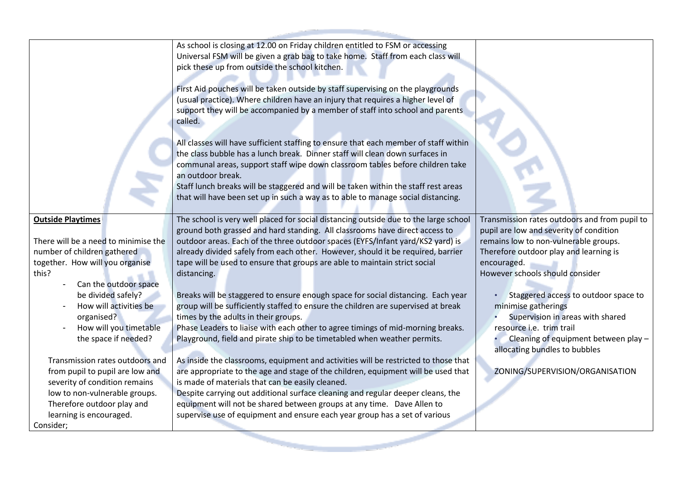|                                                                                                                                                                                                                                                                                                                                                                                                                                                                                                    | As school is closing at 12.00 on Friday children entitled to FSM or accessing<br>Universal FSM will be given a grab bag to take home. Staff from each class will<br>pick these up from outside the school kitchen.<br>First Aid pouches will be taken outside by staff supervising on the playgrounds<br>(usual practice). Where children have an injury that requires a higher level of<br>support they will be accompanied by a member of staff into school and parents<br>called.<br>All classes will have sufficient staffing to ensure that each member of staff within<br>the class bubble has a lunch break. Dinner staff will clean down surfaces in<br>communal areas, support staff wipe down classroom tables before children take<br>an outdoor break.<br>Staff lunch breaks will be staggered and will be taken within the staff rest areas<br>that will have been set up in such a way as to able to manage social distancing.                                                                                                                                                                                                                                                                                                                                                     |                                                                                                                                                                                                                                                                                                                                                                                                                                                                          |
|----------------------------------------------------------------------------------------------------------------------------------------------------------------------------------------------------------------------------------------------------------------------------------------------------------------------------------------------------------------------------------------------------------------------------------------------------------------------------------------------------|--------------------------------------------------------------------------------------------------------------------------------------------------------------------------------------------------------------------------------------------------------------------------------------------------------------------------------------------------------------------------------------------------------------------------------------------------------------------------------------------------------------------------------------------------------------------------------------------------------------------------------------------------------------------------------------------------------------------------------------------------------------------------------------------------------------------------------------------------------------------------------------------------------------------------------------------------------------------------------------------------------------------------------------------------------------------------------------------------------------------------------------------------------------------------------------------------------------------------------------------------------------------------------------------------|--------------------------------------------------------------------------------------------------------------------------------------------------------------------------------------------------------------------------------------------------------------------------------------------------------------------------------------------------------------------------------------------------------------------------------------------------------------------------|
| <b>Outside Playtimes</b><br>There will be a need to minimise the<br>number of children gathered<br>together. How will you organise<br>this?<br>Can the outdoor space<br>be divided safely?<br>How will activities be<br>organised?<br>How will you timetable<br>the space if needed?<br>Transmission rates outdoors and<br>from pupil to pupil are low and<br>severity of condition remains<br>low to non-vulnerable groups.<br>Therefore outdoor play and<br>learning is encouraged.<br>Consider; | The school is very well placed for social distancing outside due to the large school<br>ground both grassed and hard standing. All classrooms have direct access to<br>outdoor areas. Each of the three outdoor spaces (EYFS/Infant yard/KS2 yard) is<br>already divided safely from each other. However, should it be required, barrier<br>tape will be used to ensure that groups are able to maintain strict social<br>distancing.<br>Breaks will be staggered to ensure enough space for social distancing. Each year<br>group will be sufficiently staffed to ensure the children are supervised at break<br>times by the adults in their groups.<br>Phase Leaders to liaise with each other to agree timings of mid-morning breaks.<br>Playground, field and pirate ship to be timetabled when weather permits.<br>As inside the classrooms, equipment and activities will be restricted to those that<br>are appropriate to the age and stage of the children, equipment will be used that<br>is made of materials that can be easily cleaned.<br>Despite carrying out additional surface cleaning and regular deeper cleans, the<br>equipment will not be shared between groups at any time. Dave Allen to<br>supervise use of equipment and ensure each year group has a set of various | Transmission rates outdoors and from pupil to<br>pupil are low and severity of condition<br>remains low to non-vulnerable groups.<br>Therefore outdoor play and learning is<br>encouraged.<br>However schools should consider<br>Staggered access to outdoor space to<br>minimise gatherings<br>Supervision in areas with shared<br>resource i.e. trim trail<br>Cleaning of equipment between play -<br>allocating bundles to bubbles<br>ZONING/SUPERVISION/ORGANISATION |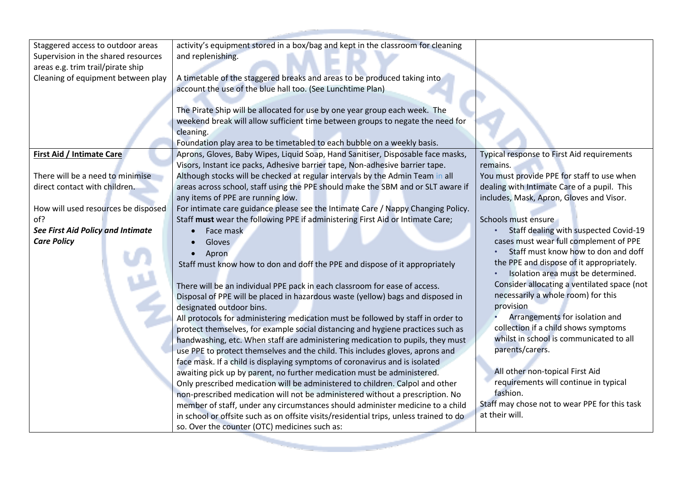| Staggered access to outdoor areas   | activity's equipment stored in a box/bag and kept in the classroom for cleaning        |                                               |
|-------------------------------------|----------------------------------------------------------------------------------------|-----------------------------------------------|
| Supervision in the shared resources | and replenishing.                                                                      |                                               |
| areas e.g. trim trail/pirate ship   |                                                                                        |                                               |
| Cleaning of equipment between play  | A timetable of the staggered breaks and areas to be produced taking into               |                                               |
|                                     | account the use of the blue hall too. (See Lunchtime Plan)                             |                                               |
|                                     |                                                                                        |                                               |
|                                     | The Pirate Ship will be allocated for use by one year group each week. The             |                                               |
|                                     | weekend break will allow sufficient time between groups to negate the need for         |                                               |
|                                     | cleaning.                                                                              |                                               |
|                                     | Foundation play area to be timetabled to each bubble on a weekly basis.                |                                               |
| First Aid / Intimate Care           | Aprons, Gloves, Baby Wipes, Liquid Soap, Hand Sanitiser, Disposable face masks,        | Typical response to First Aid requirements    |
|                                     | Visors, Instant ice packs, Adhesive barrier tape, Non-adhesive barrier tape.           | remains.                                      |
| There will be a need to minimise    | Although stocks will be checked at regular intervals by the Admin Team in all          | You must provide PPE for staff to use when    |
| direct contact with children.       | areas across school, staff using the PPE should make the SBM and or SLT aware if       | dealing with Intimate Care of a pupil. This   |
|                                     | any items of PPE are running low.                                                      | includes, Mask, Apron, Gloves and Visor.      |
| How will used resources be disposed | For intimate care guidance please see the Intimate Care / Nappy Changing Policy.       |                                               |
| of?                                 | Staff must wear the following PPE if administering First Aid or Intimate Care;         | Schools must ensure                           |
| See First Aid Policy and Intimate   | Face mask                                                                              | Staff dealing with suspected Covid-19         |
| <b>Care Policy</b>                  | Gloves                                                                                 | cases must wear full complement of PPE        |
|                                     | Apron                                                                                  | Staff must know how to don and doff           |
|                                     | Staff must know how to don and doff the PPE and dispose of it appropriately            | the PPE and dispose of it appropriately.      |
|                                     |                                                                                        | Isolation area must be determined.            |
|                                     | There will be an individual PPE pack in each classroom for ease of access.             | Consider allocating a ventilated space (not   |
|                                     | Disposal of PPE will be placed in hazardous waste (yellow) bags and disposed in        | necessarily a whole room) for this            |
|                                     | designated outdoor bins.                                                               | provision                                     |
|                                     | All protocols for administering medication must be followed by staff in order to       | Arrangements for isolation and                |
|                                     | protect themselves, for example social distancing and hygiene practices such as        | collection if a child shows symptoms          |
|                                     | handwashing, etc. When staff are administering medication to pupils, they must         | whilst in school is communicated to all       |
|                                     | use PPE to protect themselves and the child. This includes gloves, aprons and          | parents/carers.                               |
|                                     | face mask. If a child is displaying symptoms of coronavirus and is isolated            |                                               |
|                                     | awaiting pick up by parent, no further medication must be administered.                | All other non-topical First Aid               |
|                                     | Only prescribed medication will be administered to children. Calpol and other          | requirements will continue in typical         |
|                                     | non-prescribed medication will not be administered without a prescription. No          | fashion.                                      |
|                                     | member of staff, under any circumstances should administer medicine to a child         | Staff may chose not to wear PPE for this task |
|                                     | in school or offsite such as on offsite visits/residential trips, unless trained to do | at their will.                                |
|                                     | so. Over the counter (OTC) medicines such as:                                          |                                               |
|                                     |                                                                                        |                                               |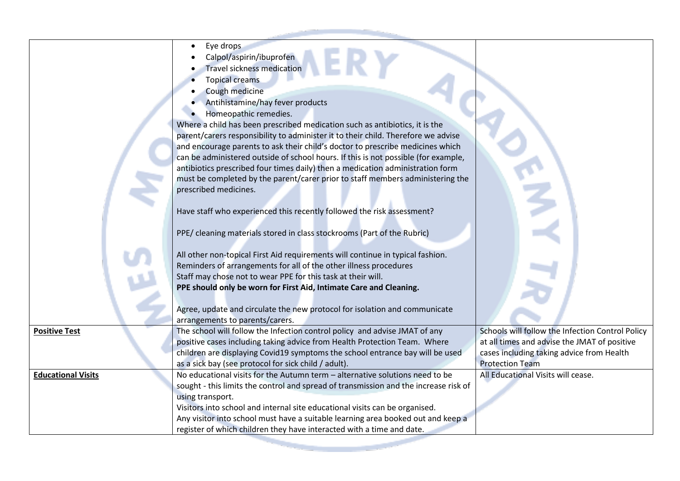|                           | Eye drops                                                                            |                                                  |
|---------------------------|--------------------------------------------------------------------------------------|--------------------------------------------------|
|                           | Calpol/aspirin/ibuprofen                                                             |                                                  |
|                           | <b>Travel sickness medication</b>                                                    |                                                  |
|                           | <b>Topical creams</b>                                                                |                                                  |
|                           | Cough medicine                                                                       |                                                  |
|                           | Antihistamine/hay fever products                                                     |                                                  |
|                           | Homeopathic remedies.                                                                |                                                  |
|                           | Where a child has been prescribed medication such as antibiotics, it is the          |                                                  |
|                           | parent/carers responsibility to administer it to their child. Therefore we advise    |                                                  |
|                           | and encourage parents to ask their child's doctor to prescribe medicines which       |                                                  |
|                           | can be administered outside of school hours. If this is not possible (for example,   |                                                  |
|                           | antibiotics prescribed four times daily) then a medication administration form       |                                                  |
|                           | must be completed by the parent/carer prior to staff members administering the       |                                                  |
|                           | prescribed medicines.                                                                |                                                  |
|                           |                                                                                      |                                                  |
|                           | Have staff who experienced this recently followed the risk assessment?               |                                                  |
|                           |                                                                                      |                                                  |
|                           | PPE/ cleaning materials stored in class stockrooms (Part of the Rubric)              |                                                  |
|                           |                                                                                      |                                                  |
|                           | All other non-topical First Aid requirements will continue in typical fashion.       |                                                  |
|                           | Reminders of arrangements for all of the other illness procedures                    |                                                  |
|                           | Staff may chose not to wear PPE for this task at their will.                         |                                                  |
|                           | PPE should only be worn for First Aid, Intimate Care and Cleaning.                   |                                                  |
|                           |                                                                                      |                                                  |
|                           | Agree, update and circulate the new protocol for isolation and communicate           |                                                  |
|                           | arrangements to parents/carers.                                                      |                                                  |
| <b>Positive Test</b>      | The school will follow the Infection control policy and advise JMAT of any           | Schools will follow the Infection Control Policy |
|                           | positive cases including taking advice from Health Protection Team. Where            | at all times and advise the JMAT of positive     |
|                           | children are displaying Covid19 symptoms the school entrance bay will be used        | cases including taking advice from Health        |
|                           | as a sick bay (see protocol for sick child / adult).                                 | <b>Protection Team</b>                           |
| <b>Educational Visits</b> | No educational visits for the Autumn term - alternative solutions need to be         | All Educational Visits will cease.               |
|                           | sought - this limits the control and spread of transmission and the increase risk of |                                                  |
|                           | using transport.                                                                     |                                                  |
|                           | Visitors into school and internal site educational visits can be organised.          |                                                  |
|                           | Any visitor into school must have a suitable learning area booked out and keep a     |                                                  |
|                           | register of which children they have interacted with a time and date.                |                                                  |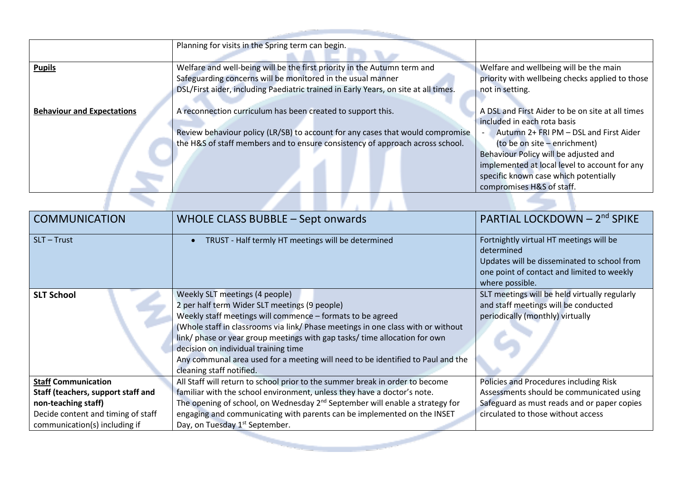|                                   | Planning for visits in the Spring term can begin.                                                                                                                                                                              |                                                                                                                                                                                                                                                                                                                           |
|-----------------------------------|--------------------------------------------------------------------------------------------------------------------------------------------------------------------------------------------------------------------------------|---------------------------------------------------------------------------------------------------------------------------------------------------------------------------------------------------------------------------------------------------------------------------------------------------------------------------|
| <b>Pupils</b>                     | Welfare and well-being will be the first priority in the Autumn term and<br>Safeguarding concerns will be monitored in the usual manner<br>DSL/First aider, including Paediatric trained in Early Years, on site at all times. | Welfare and wellbeing will be the main<br>priority with wellbeing checks applied to those<br>not in setting.                                                                                                                                                                                                              |
| <b>Behaviour and Expectations</b> | A reconnection curriculum has been created to support this.<br>Review behaviour policy (LR/SB) to account for any cases that would compromise<br>the H&S of staff members and to ensure consistency of approach across school. | A DSL and First Aider to be on site at all times<br>included in each rota basis<br>Autumn 2+ FRI PM - DSL and First Aider<br>(to be on site – enrichment)<br>Behaviour Policy will be adjusted and<br>implemented at local level to account for any<br>specific known case which potentially<br>compromises H&S of staff. |
|                                   |                                                                                                                                                                                                                                |                                                                                                                                                                                                                                                                                                                           |

| <b>COMMUNICATION</b>                                                                                                                                           | WHOLE CLASS BUBBLE - Sept onwards                                                                                                                                                                                                                                                                                                                                                                                                                                      | PARTIAL LOCKDOWN - 2 <sup>nd</sup> SPIKE                                                                                                                                |
|----------------------------------------------------------------------------------------------------------------------------------------------------------------|------------------------------------------------------------------------------------------------------------------------------------------------------------------------------------------------------------------------------------------------------------------------------------------------------------------------------------------------------------------------------------------------------------------------------------------------------------------------|-------------------------------------------------------------------------------------------------------------------------------------------------------------------------|
| SLT-Trust                                                                                                                                                      | TRUST - Half termly HT meetings will be determined                                                                                                                                                                                                                                                                                                                                                                                                                     | Fortnightly virtual HT meetings will be<br>determined<br>Updates will be disseminated to school from<br>one point of contact and limited to weekly<br>where possible.   |
| <b>SLT School</b>                                                                                                                                              | Weekly SLT meetings (4 people)<br>2 per half term Wider SLT meetings (9 people)<br>Weekly staff meetings will commence - formats to be agreed<br>(Whole staff in classrooms via link/ Phase meetings in one class with or without<br>link/ phase or year group meetings with gap tasks/ time allocation for own<br>decision on individual training time<br>Any communal area used for a meeting will need to be identified to Paul and the<br>cleaning staff notified. | SLT meetings will be held virtually regularly<br>and staff meetings will be conducted<br>periodically (monthly) virtually                                               |
| <b>Staff Communication</b><br>Staff (teachers, support staff and<br>non-teaching staff)<br>Decide content and timing of staff<br>communication(s) including if | All Staff will return to school prior to the summer break in order to become<br>familiar with the school environment, unless they have a doctor's note.<br>The opening of school, on Wednesday 2 <sup>nd</sup> September will enable a strategy for<br>engaging and communicating with parents can be implemented on the INSET<br>Day, on Tuesday 1 <sup>st</sup> September.                                                                                           | Policies and Procedures including Risk<br>Assessments should be communicated using<br>Safeguard as must reads and or paper copies<br>circulated to those without access |
|                                                                                                                                                                |                                                                                                                                                                                                                                                                                                                                                                                                                                                                        |                                                                                                                                                                         |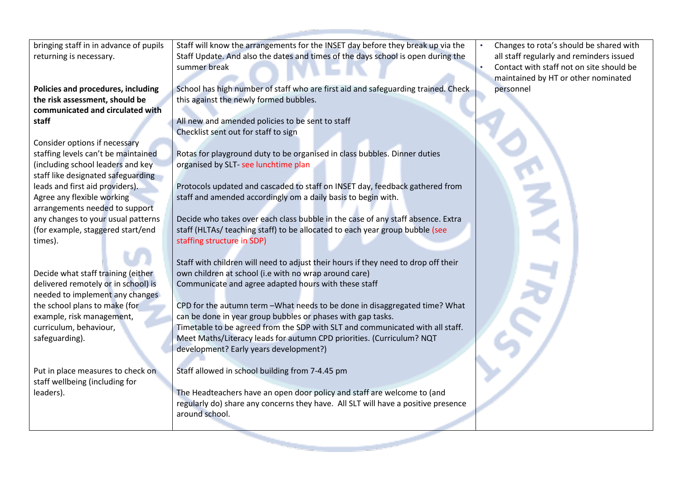bringing staff in in advance of pupils returning is necessary.

**Policies and procedures, including the risk assessment, should be communicated and circulated with staff**

Consider options if necessary staffing levels can't be maintained (including school leaders and key staff like designated safeguarding leads and first aid providers). Agree any flexible working arrangements needed to support any changes to your usual patterns (for example, staggered start/end times).

Decide what staff training (either delivered remotely or in school) is needed to implement any changes the school plans to make (for example, risk management, curriculum, behaviour, safeguarding).

Put in place measures to check on staff wellbeing (including for leaders).

Staff will know the arrangements for the INSET day before they break up via the Staff Update. And also the dates and times of the days school is open during the summer break

School has high number of staff who are first aid and safeguarding trained. Check this against the newly formed bubbles.

All new and amended policies to be sent to staff Checklist sent out for staff to sign

Rotas for playground duty to be organised in class bubbles. Dinner duties organised by SLT- see lunchtime plan

Protocols updated and cascaded to staff on INSET day, feedback gathered from staff and amended accordingly om a daily basis to begin with.

Decide who takes over each class bubble in the case of any staff absence. Extra staff (HLTAs/ teaching staff) to be allocated to each year group bubble (see staffing structure in SDP)

Staff with children will need to adjust their hours if they need to drop off their own children at school (i.e with no wrap around care) Communicate and agree adapted hours with these staff

CPD for the autumn term –What needs to be done in disaggregated time? What can be done in year group bubbles or phases with gap tasks. Timetable to be agreed from the SDP with SLT and communicated with all staff. Meet Maths/Literacy leads for autumn CPD priorities. (Curriculum? NQT development? Early years development?)

Staff allowed in school building from 7-4.45 pm

The Headteachers have an open door policy and staff are welcome to (and regularly do) share any concerns they have. All SLT will have a positive presence around school.

• Changes to rota's should be shared with all staff regularly and reminders issued • Contact with staff not on site should be maintained by HT or other nominated personnel